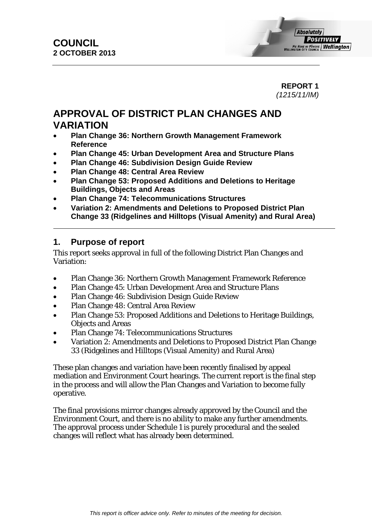#### **REPORT 1**  *(1215/11/IM)*

# **APPROVAL OF DISTRICT PLAN CHANGES AND VARIATION**

- **Plan Change 36: Northern Growth Management Framework Reference**
- **Plan Change 45: Urban Development Area and Structure Plans**
- **Plan Change 46: Subdivision Design Guide Review**
- **Plan Change 48: Central Area Review**
- **Plan Change 53: Proposed Additions and Deletions to Heritage Buildings, Objects and Areas**
- **Plan Change 74: Telecommunications Structures**
- **Variation 2: Amendments and Deletions to Proposed District Plan Change 33 (Ridgelines and Hilltops (Visual Amenity) and Rural Area)**

# **1. Purpose of report**

This report seeks approval in full of the following District Plan Changes and Variation:

- Plan Change 36: Northern Growth Management Framework Reference
- Plan Change 45: Urban Development Area and Structure Plans
- Plan Change 46: Subdivision Design Guide Review
- Plan Change 48: Central Area Review
- Plan Change 53: Proposed Additions and Deletions to Heritage Buildings, Objects and Areas
- Plan Change 74: Telecommunications Structures
- Variation 2: Amendments and Deletions to Proposed District Plan Change 33 (Ridgelines and Hilltops (Visual Amenity) and Rural Area)

These plan changes and variation have been recently finalised by appeal mediation and Environment Court hearings. The current report is the final step in the process and will allow the Plan Changes and Variation to become fully operative.

The final provisions mirror changes already approved by the Council and the Environment Court, and there is no ability to make any further amendments. The approval process under Schedule 1 is purely procedural and the sealed changes will reflect what has already been determined.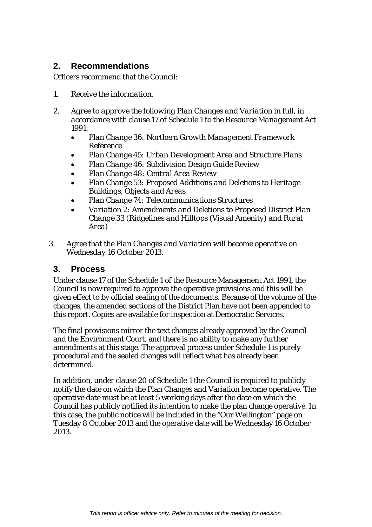# **2. Recommendations**

Officers recommend that the Council:

- *1. Receive the information.*
- *2. Agree to approve the following Plan Changes and Variation in full, in accordance with clause 17 of Schedule 1 to the Resource Management Act 1991:* 
	- *Plan Change 36: Northern Growth Management Framework Reference*
	- *Plan Change 45: Urban Development Area and Structure Plans*
	- *Plan Change 46: Subdivision Design Guide Review*
	- *Plan Change 48: Central Area Review*
	- *Plan Change 53: Proposed Additions and Deletions to Heritage Buildings, Objects and Areas*
	- *Plan Change 74: Telecommunications Structures*
	- *Variation 2: Amendments and Deletions to Proposed District Plan Change 33 (Ridgelines and Hilltops (Visual Amenity) and Rural Area)*
- *3. Agree that the Plan Changes and Variation will become operative on Wednesday 16 October 2013.*

# **3. Process**

Under clause 17 of the Schedule 1 of the Resource Management Act 1991, the Council is now required to approve the operative provisions and this will be given effect to by official sealing of the documents. Because of the volume of the changes, the amended sections of the District Plan have not been appended to this report. Copies are available for inspection at Democratic Services.

The final provisions mirror the text changes already approved by the Council and the Environment Court, and there is no ability to make any further amendments at this stage. The approval process under Schedule 1 is purely procedural and the sealed changes will reflect what has already been determined.

In addition, under clause 20 of Schedule 1 the Council is required to publicly notify the date on which the Plan Changes and Variation become operative. The operative date must be at least 5 working days after the date on which the Council has publicly notified its intention to make the plan change operative. In this case, the public notice will be included in the "Our Wellington" page on Tuesday 8 October 2013 and the operative date will be Wednesday 16 October 2013.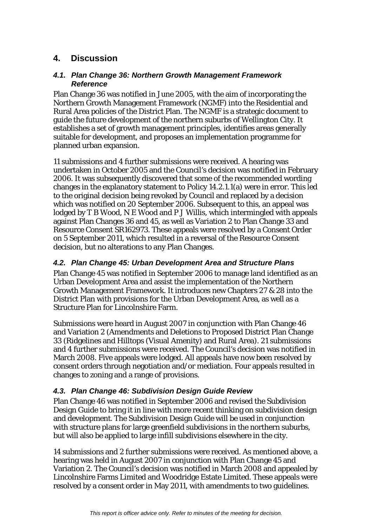# **4. Discussion**

#### *4.1. Plan Change 36: Northern Growth Management Framework Reference*

Plan Change 36 was notified in June 2005, with the aim of incorporating the Northern Growth Management Framework (NGMF) into the Residential and Rural Area policies of the District Plan. The NGMF is a strategic document to guide the future development of the northern suburbs of Wellington City. It establishes a set of growth management principles, identifies areas generally suitable for development, and proposes an implementation programme for planned urban expansion.

11 submissions and 4 further submissions were received. A hearing was undertaken in October 2005 and the Council's decision was notified in February 2006. It was subsequently discovered that some of the recommended wording changes in the explanatory statement to Policy 14.2.1.1(a) were in error. This led to the original decision being revoked by Council and replaced by a decision which was notified on 20 September 2006. Subsequent to this, an appeal was lodged by T B Wood, N E Wood and P J Willis, which intermingled with appeals against Plan Changes 36 and 45, as well as Variation 2 to Plan Change 33 and Resource Consent SR162973. These appeals were resolved by a Consent Order on 5 September 2011, which resulted in a reversal of the Resource Consent decision, but no alterations to any Plan Changes.

#### *4.2. Plan Change 45: Urban Development Area and Structure Plans*

Plan Change 45 was notified in September 2006 to manage land identified as an Urban Development Area and assist the implementation of the Northern Growth Management Framework. It introduces new Chapters 27 & 28 into the District Plan with provisions for the Urban Development Area, as well as a Structure Plan for Lincolnshire Farm.

Submissions were heard in August 2007 in conjunction with Plan Change 46 and Variation 2 (Amendments and Deletions to Proposed District Plan Change 33 (Ridgelines and Hilltops (Visual Amenity) and Rural Area). 21 submissions and 4 further submissions were received. The Council's decision was notified in March 2008. Five appeals were lodged. All appeals have now been resolved by consent orders through negotiation and/or mediation. Four appeals resulted in changes to zoning and a range of provisions.

## *4.3. Plan Change 46: Subdivision Design Guide Review*

Plan Change 46 was notified in September 2006 and revised the Subdivision Design Guide to bring it in line with more recent thinking on subdivision design and development. The Subdivision Design Guide will be used in conjunction with structure plans for large greenfield subdivisions in the northern suburbs, but will also be applied to large infill subdivisions elsewhere in the city.

14 submissions and 2 further submissions were received. As mentioned above, a hearing was held in August 2007 in conjunction with Plan Change 45 and Variation 2. The Council's decision was notified in March 2008 and appealed by Lincolnshire Farms Limited and Woodridge Estate Limited. These appeals were resolved by a consent order in May 2011, with amendments to two guidelines.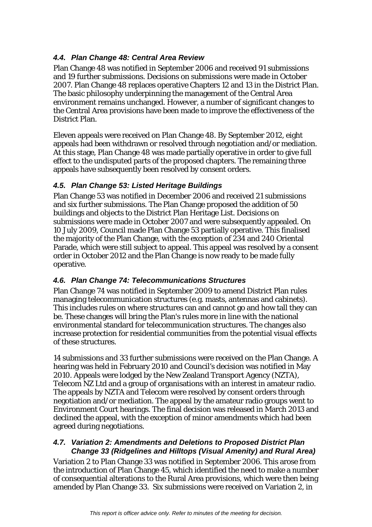## *4.4. Plan Change 48: Central Area Review*

Plan Change 48 was notified in September 2006 and received 91 submissions and 19 further submissions. Decisions on submissions were made in October 2007. Plan Change 48 replaces operative Chapters 12 and 13 in the District Plan. The basic philosophy underpinning the management of the Central Area environment remains unchanged. However, a number of significant changes to the Central Area provisions have been made to improve the effectiveness of the District Plan.

Eleven appeals were received on Plan Change 48. By September 2012, eight appeals had been withdrawn or resolved through negotiation and/or mediation. At this stage, Plan Change 48 was made partially operative in order to give full effect to the undisputed parts of the proposed chapters. The remaining three appeals have subsequently been resolved by consent orders.

# *4.5. Plan Change 53: Listed Heritage Buildings*

Plan Change 53 was notified in December 2006 and received 21 submissions and six further submissions. The Plan Change proposed the addition of 50 buildings and objects to the District Plan Heritage List. Decisions on submissions were made in October 2007 and were subsequently appealed. On 10 July 2009, Council made Plan Change 53 partially operative. This finalised the majority of the Plan Change, with the exception of 234 and 240 Oriental Parade, which were still subject to appeal. This appeal was resolved by a consent order in October 2012 and the Plan Change is now ready to be made fully operative.

## *4.6. Plan Change 74: Telecommunications Structures*

Plan Change 74 was notified in September 2009 to amend District Plan rules managing telecommunication structures (e.g. masts, antennas and cabinets). This includes rules on where structures can and cannot go and how tall they can be. These changes will bring the Plan's rules more in line with the national environmental standard for telecommunication structures. The changes also increase protection for residential communities from the potential visual effects of these structures.

14 submissions and 33 further submissions were received on the Plan Change. A hearing was held in February 2010 and Council's decision was notified in May 2010. Appeals were lodged by the New Zealand Transport Agency (NZTA), Telecom NZ Ltd and a group of organisations with an interest in amateur radio. The appeals by NZTA and Telecom were resolved by consent orders through negotiation and/or mediation. The appeal by the amateur radio groups went to Environment Court hearings. The final decision was released in March 2013 and declined the appeal, with the exception of minor amendments which had been agreed during negotiations.

## *4.7. Variation 2: Amendments and Deletions to Proposed District Plan Change 33 (Ridgelines and Hilltops (Visual Amenity) and Rural Area)*

Variation 2 to Plan Change 33 was notified in September 2006. This arose from the introduction of Plan Change 45, which identified the need to make a number of consequential alterations to the Rural Area provisions, which were then being amended by Plan Change 33. Six submissions were received on Variation 2, in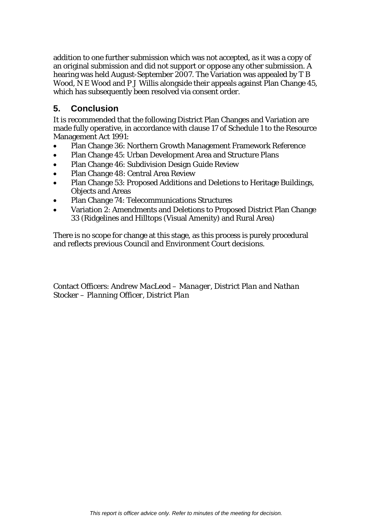addition to one further submission which was not accepted, as it was a copy of an original submission and did not support or oppose any other submission. A hearing was held August-September 2007. The Variation was appealed by T B Wood, N E Wood and P J Willis alongside their appeals against Plan Change 45, which has subsequently been resolved via consent order.

# **5. Conclusion**

It is recommended that the following District Plan Changes and Variation are made fully operative, in accordance with clause 17 of Schedule 1 to the Resource Management Act 1991:

- Plan Change 36: Northern Growth Management Framework Reference
- Plan Change 45: Urban Development Area and Structure Plans
- Plan Change 46: Subdivision Design Guide Review
- Plan Change 48: Central Area Review
- Plan Change 53: Proposed Additions and Deletions to Heritage Buildings, Objects and Areas
- Plan Change 74: Telecommunications Structures
- Variation 2: Amendments and Deletions to Proposed District Plan Change 33 (Ridgelines and Hilltops (Visual Amenity) and Rural Area)

There is no scope for change at this stage, as this process is purely procedural and reflects previous Council and Environment Court decisions.

Contact Officers: *Andrew MacLeod – Manager, District Plan and Nathan Stocker – Planning Officer, District Plan*